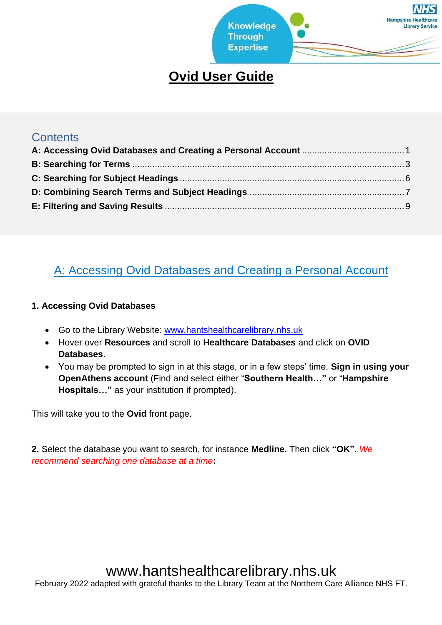

### **Ovid User Guide**

#### **Contents**

#### <span id="page-0-0"></span>A: Accessing Ovid Databases and Creating a Personal Account

#### **1. Accessing Ovid Databases**

- Go to the Library Website: [www.hantshealthcarelibrary.nhs.uk](http://www.hantshealthcarelibrary.nhs.uk/)
- Hover over **Resources** and scroll to **Healthcare Databases** and click on **OVID Databases**.
- You may be prompted to sign in at this stage, or in a few steps' time. **Sign in using your OpenAthens account** (Find and select either "**Southern Health…"** or "**Hampshire Hospitals…"** as your institution if prompted).

This will take you to the **Ovid** front page.

**2.** Select the database you want to search, for instance **Medline.** Then click **"OK"**. *We recommend searching one database at a time***:**

# www.hantshealthcarelibrary.nhs.uk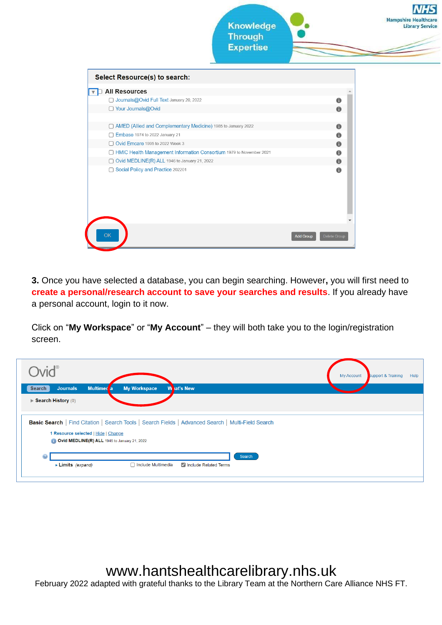

**3.** Once you have selected a database, you can begin searching. However**,** you will first need to **create a personal/research account to save your searches and results**. If you already have a personal account, login to it now.

Click on "**My Workspace**" or "**My Account**" – they will both take you to the login/registration screen.

| $Nid^{\circ}$                                                                                                                             |                           |                       |        | My Account | <b>Support &amp; Training</b> | Help |
|-------------------------------------------------------------------------------------------------------------------------------------------|---------------------------|-----------------------|--------|------------|-------------------------------|------|
| <b>Journals</b><br>Multimed a<br><b>Search</b><br>$\blacktriangleright$ Search History (0)                                                | <b>My Workspace</b>       | <b>W</b> lat's New    |        |            |                               |      |
|                                                                                                                                           |                           |                       |        |            |                               |      |
| Basic Search   Find Citation   Search Tools   Search Fields   Advanced Search   Multi-Field Search<br>1 Resource selected   Hide   Change |                           |                       |        |            |                               |      |
| Ovid MEDLINE(R) ALL 1946 to January 21, 2022                                                                                              |                           |                       |        |            |                               |      |
| $\boldsymbol{\Theta}$<br>Limits (expand)                                                                                                  | $\Box$ Include Multimedia | Include Related Terms | Search |            |                               |      |
|                                                                                                                                           |                           |                       |        |            |                               |      |

www.hantshealthcarelibrary.nhs.uk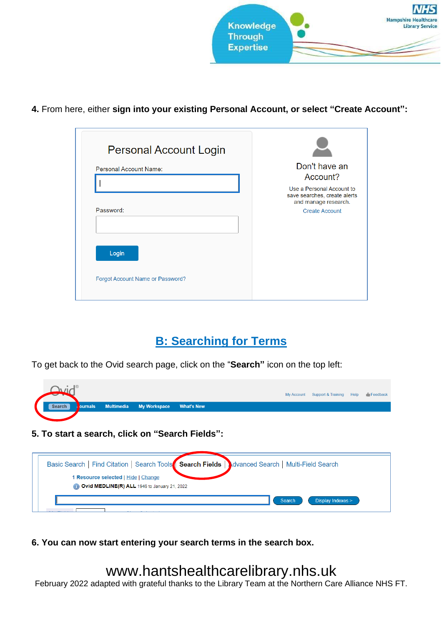

**4.** From here, either **sign into your existing Personal Account, or select "Create Account":**

| <b>Personal Account Login</b>           |                                                                                                            |
|-----------------------------------------|------------------------------------------------------------------------------------------------------------|
| <b>Personal Account Name:</b>           | Don't have an<br>Account?                                                                                  |
| Password:                               | Use a Personal Account to<br>save searches, create alerts<br>and manage research.<br><b>Create Account</b> |
|                                         |                                                                                                            |
| Login                                   |                                                                                                            |
| <b>Forgot Account Name or Password?</b> |                                                                                                            |

#### **B: Searching for Terms**

<span id="page-2-0"></span>To get back to the Ovid search page, click on the "**Search"** icon on the top left:

|        |  |                                        |                   |  | My Account Support & Training Help Feedback |  |
|--------|--|----------------------------------------|-------------------|--|---------------------------------------------|--|
| Search |  | <b>Ournals</b> Multimedia My Workspace | <b>What's New</b> |  |                                             |  |
|        |  |                                        |                   |  |                                             |  |

**5. To start a search, click on "Search Fields":**

| Basic Search   Find Citation   Search Tools   Search Fields   Julyanced Search   Multi-Field Search |                                    |
|-----------------------------------------------------------------------------------------------------|------------------------------------|
| 1 Resource selected   Hide   Change<br>Ovid MEDLINE(R) ALL 1946 to January 21, 2022                 |                                    |
|                                                                                                     | Display Indexes ><br><b>Search</b> |

**6. You can now start entering your search terms in the search box.**

## www.hantshealthcarelibrary.nhs.uk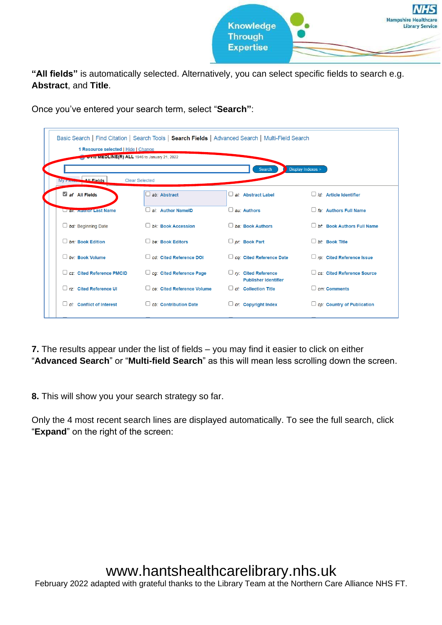

**"All fields"** is automatically selected. Alternatively, you can select specific fields to search e.g. **Abstract**, and **Title**.

Once you've entered your search term, select "**Search"**:

| 1 Resource selected   Hide   Change<br><b>Cylin WEDLINE(R) ALL</b> 1946 to January 21, 2022 | Basic Search   Find Citation   Search Tools   Search Fields   Advanced Search   Multi-Field Search |                                                           |                                   |
|---------------------------------------------------------------------------------------------|----------------------------------------------------------------------------------------------------|-----------------------------------------------------------|-----------------------------------|
| <b>All Fields</b><br><b>My Fight</b>                                                        | <b>Clear Selected</b>                                                                              | Search                                                    | Display Indexes >                 |
| af All Fields                                                                               | ab: Abstract                                                                                       | al: Abstract Label                                        | $id$ : Article Identifier         |
| <b>Lax. August Last Name</b>                                                                | ai: Author NamelD                                                                                  | $\Box$ au: Authors                                        | $\Box$ fa: Authors Full Name      |
| $\Box$ bd: Beginning Date                                                                   | $D$ bk: Book Accession                                                                             | $\Box$ ba: Book Authors                                   | D bt: Book Authors Full Name      |
| $\Box$ bn: Book Edition                                                                     | $\Box$ be: Book Editors                                                                            | $\Box$ pr: Book Part                                      | $\Box$ bt: Book Title             |
| $\Box$ by: Book Volume                                                                      | cd: Cited Reference DOI                                                                            | $\Box$ cq: Cited Reference Date                           | $\Box$ rp: Cited Reference Issue  |
| C cz: Cited Reference PMCID                                                                 | $\Box$ cg: Cited Reference Page                                                                    | $\Box$ ry: Cited Reference<br><b>Publisher Identifier</b> | C cs: Cited Reference Source      |
| $\Box$ rz: Cited Reference UI                                                               | □ ce: Cited Reference Volume                                                                       | $\Box$ cl: Collection Title                               | $\Box$ cm: Comments               |
| $\Box$ ci: Conflict of Interest                                                             | $\Box$ cb: Contribution Date                                                                       | $\Box$ cr: Copyright Index                                | $\Box$ cp: Country of Publication |

**7.** The results appear under the list of fields – you may find it easier to click on either "**Advanced Search**" or "**Multi-field Search**" as this will mean less scrolling down the screen.

**8.** This will show you your search strategy so far.

Only the 4 most recent search lines are displayed automatically. To see the full search, click "**Expand**" on the right of the screen: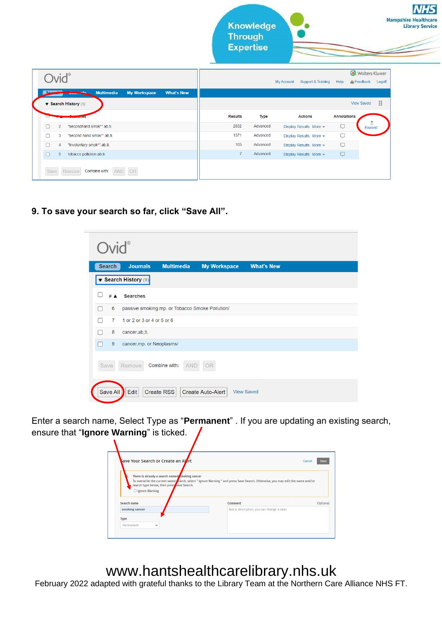**Library Service** 

|                | <b>Multimedia</b><br><b>What's New</b><br><b>My Workspace</b><br>ساد<br><b>MARINESE</b> |                |             |                          |                    |                        |
|----------------|-----------------------------------------------------------------------------------------|----------------|-------------|--------------------------|--------------------|------------------------|
|                | $\blacktriangledown$ Search History (5)                                                 |                |             |                          |                    | ÷<br><b>View Saved</b> |
|                |                                                                                         | <b>Results</b> | <b>Type</b> | <b>Actions</b>           | <b>Annotations</b> |                        |
| $\overline{2}$ | "secondhand smok*".ab,ti.                                                               | 2832           | Advanced    | Display Results   More - | Q                  | $=$<br>Expand          |
| 3              | "second hand smok*".ab.ti.                                                              | 1371           | Advanced    | Display Results More -   | Ç                  |                        |
| 4              | "involuntary smok*".ab.ti.                                                              | 105            | Advanced    | Display Results   More - | Q                  |                        |
| 5              | tobacco pollution.ab,ti.                                                                | $\overline{7}$ | Advanced    | Display Results More     | Q                  |                        |
| Save           | AND OR<br>Remove<br>Combine with:                                                       |                |             |                          |                    |                        |

#### **9. To save your search so far, click "Save All".**

Ovid®



Enter a search name, Select Type as "**Permanent**" . If you are updating an existing search, ensure that "**Ignore Warning**" is ticked.

| There is already a search named $\sqrt{\frac{1}{2}}$ moking cancer  |                                                                                                                                         |          |
|---------------------------------------------------------------------|-----------------------------------------------------------------------------------------------------------------------------------------|----------|
| search type below, then press save Search.<br>$\Box$ Ignore Warning | To overwrite the current saved <b>f</b> earch, select " Ignore Warning " and press Save Search. Otherwise, you may edit the name and/or |          |
| Search name                                                         | <b>Comment</b>                                                                                                                          | Optional |
| smoking cancer                                                      | Add a description, you can change it later.                                                                                             |          |
|                                                                     |                                                                                                                                         |          |
| <b>Type</b>                                                         |                                                                                                                                         |          |

# www.hantshealthcarelibrary.nhs.uk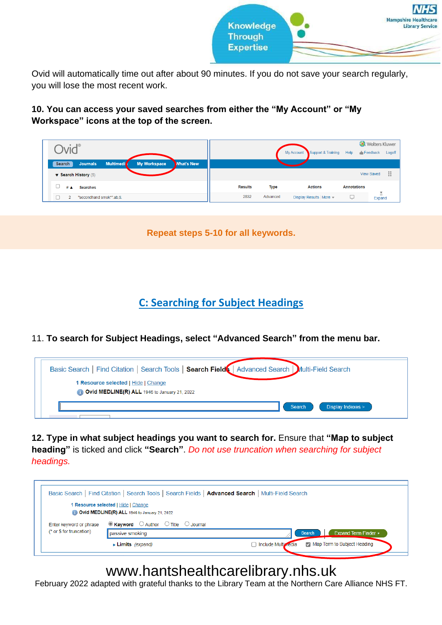

Ovid will automatically time out after about 90 minutes. If you do not save your search regularly, you will lose the most recent work.

**10. You can access your saved searches from either the "My Account" or "My Workspace" icons at the top of the screen.**

|                                                                                    |                |             |                                  |                    | <b>D</b> . Wolters Kluwer |
|------------------------------------------------------------------------------------|----------------|-------------|----------------------------------|--------------------|---------------------------|
| <b>Multimedi</b><br>My Workspace<br><b>What's New</b><br><b>Journals</b><br>Search |                |             | Support & Training<br>My Account | Help               | Feedback<br>Logoff        |
| $\blacktriangledown$ Search History (5)                                            |                |             |                                  |                    | H<br><b>View Saved</b>    |
| # $\blacktriangle$<br><b>Searches</b>                                              | <b>Results</b> | <b>Type</b> | <b>Actions</b>                   | <b>Annotations</b> |                           |
| "secondhand smok*".ab.ti.                                                          | 2832           | Advanced    | Display Results   More -         | Ç                  | Ξ<br>Expand               |

**Repeat steps 5-10 for all keywords.**

**C: Searching for Subject Headings**

<span id="page-5-0"></span>11. **To search for Subject Headings, select "Advanced Search" from the menu bar.**

| Basic Search   Find Citation   Search Tools   Search Field   Advanced Search   Multi-Field Search |                             |
|---------------------------------------------------------------------------------------------------|-----------------------------|
| 1 Resource selected   Hide   Change<br>Ovid MEDLINE(R) ALL 1946 to January 21, 2022               |                             |
|                                                                                                   | Display Indexes ><br>Search |

**12. Type in what subject headings you want to search for.** Ensure that **"Map to subject heading"** is ticked and click **"Search"**. *Do not use truncation when searching for subject headings.*

|                          | Basic Search   Find Citation   Search Tools   Search Fields   Advanced Search   Multi-Field Search |                                                      |
|--------------------------|----------------------------------------------------------------------------------------------------|------------------------------------------------------|
|                          | 1 Resource selected   Hide   Change<br>Ovid MEDLINE(R) ALL 1946 to January 21, 2022                |                                                      |
| Enter keyword or phrase  | $\bullet$ Keyword $\circ$ Author $\circ$ Title $\circ$ Journal                                     |                                                      |
| (* or \$ for truncation) | passive smoking                                                                                    | <b>Expand Term Finder ▶</b><br><b>Search</b>         |
|                          | $\blacktriangleright$ Limits (expand)                                                              | Map Term to Subject Heading<br>□ Include Multivredia |

## www.hantshealthcarelibrary.nhs.uk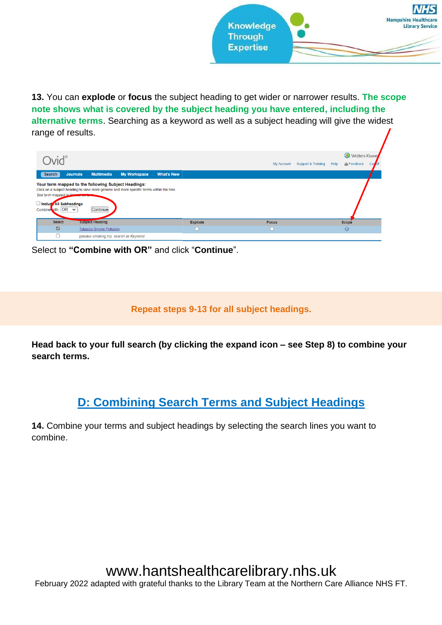

**13.** You can **explode** or **focus** the subject heading to get wider or narrower results. **The scope note shows what is covered by the subject heading you have entered, including the alternative terms**. Searching as a keyword as well as a subject heading will give the widest range of results.

|                                                                                |                                                                                                                                                             |                     |                   |                |              |                            | <b>U.</b> Wolters Kluwe |
|--------------------------------------------------------------------------------|-------------------------------------------------------------------------------------------------------------------------------------------------------------|---------------------|-------------------|----------------|--------------|----------------------------|-------------------------|
|                                                                                |                                                                                                                                                             |                     |                   |                | My Account   | Support & Training<br>Help | Feedback<br>$\log$      |
| <b>Journals</b><br>Search                                                      | <b>Multimedia</b>                                                                                                                                           | <b>My Workspace</b> | <b>What's New</b> |                |              |                            |                         |
| See term mapped to these<br>Include All Subheadings<br>Combine with: $OR \sim$ | Your term mapped to the following Subject Headings:<br>Click on a subject heading to view more general and more specific terms within the tree.<br>Continue |                     |                   |                |              |                            |                         |
|                                                                                |                                                                                                                                                             |                     |                   |                |              |                            |                         |
| <b>Select</b>                                                                  | <b>Subject Heading</b>                                                                                                                                      |                     |                   | <b>Explode</b> | <b>Focus</b> |                            | Scope                   |
| $\blacksquare$                                                                 | <b>Tobacco Smoke Pollution</b>                                                                                                                              |                     |                   |                |              |                            | $\circledcirc$          |

Select to **"Combine with OR"** and click "**Continue**".

**Repeat steps 9-13 for all subject headings.**

**Head back to your full search (by clicking the expand icon – see Step 8) to combine your search terms.**

### **D: Combining Search Terms and Subject Headings**

<span id="page-6-0"></span>**14.** Combine your terms and subject headings by selecting the search lines you want to combine.

# www.hantshealthcarelibrary.nhs.uk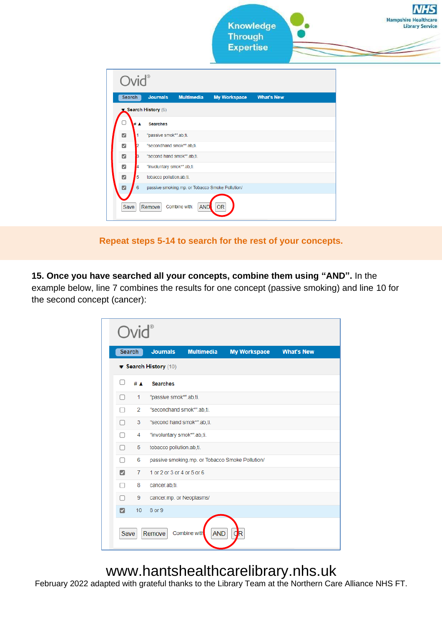

**Repeat steps 5-14 to search for the rest of your concepts.**

**15. Once you have searched all your concepts, combine them using "AND".** In the example below, line 7 combines the results for one concept (passive smoking) and line 10 for the second concept (cancer):

|                       | <b>Search</b>   | <b>Journals</b>            | <b>Multimedia</b>                               | <b>My Workspace</b> | <b>What's New</b> |
|-----------------------|-----------------|----------------------------|-------------------------------------------------|---------------------|-------------------|
| ▼ Search History (10) |                 |                            |                                                 |                     |                   |
| П                     | # ▲             | <b>Searches</b>            |                                                 |                     |                   |
| O                     | 1               | "passive smok*".ab,ti.     |                                                 |                     |                   |
|                       | $\overline{2}$  | "secondhand smok*".ab.ti.  |                                                 |                     |                   |
| 0                     | 3               |                            | "second hand smok*".ab.ti.                      |                     |                   |
| п                     | 4               | "involuntary smok*".ab,ti. |                                                 |                     |                   |
| $\Box$                | 5               | tobacco pollution.ab.ti.   |                                                 |                     |                   |
| п                     | 6               |                            | passive smoking.mp. or Tobacco Smoke Pollution/ |                     |                   |
| ☑                     | 7               | 1 or 2 or 3 or 4 or 5 or 6 |                                                 |                     |                   |
| П                     | 8               | cancer.ab,ti.              |                                                 |                     |                   |
| п                     | 9               | cancer.mp. or Neoplasms/   |                                                 |                     |                   |
| M                     | 10 <sup>°</sup> | 8 or 9                     |                                                 |                     |                   |

# www.hantshealthcarelibrary.nhs.uk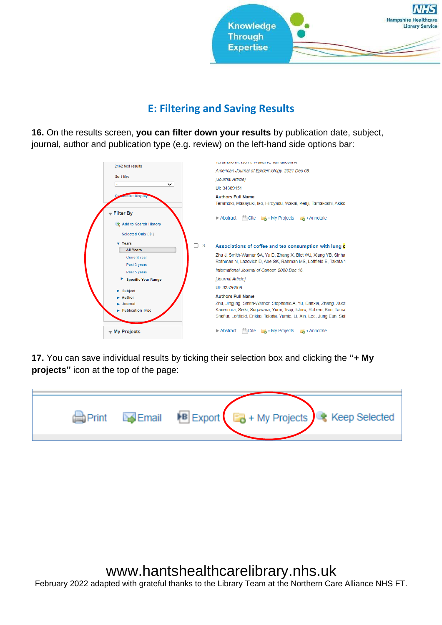

#### **E: Filtering and Saving Results**

<span id="page-8-0"></span>**16.** On the results screen, **you can filter down your results** by publication date, subject, journal, author and publication type (e.g. review) on the left-hand side options bar:



**17.** You can save individual results by ticking their selection box and clicking the **"+ My projects"** icon at the top of the page:

|  |  | Print Export 5 + My Projects Keep Selected |
|--|--|--------------------------------------------|
|  |  |                                            |

# www.hantshealthcarelibrary.nhs.uk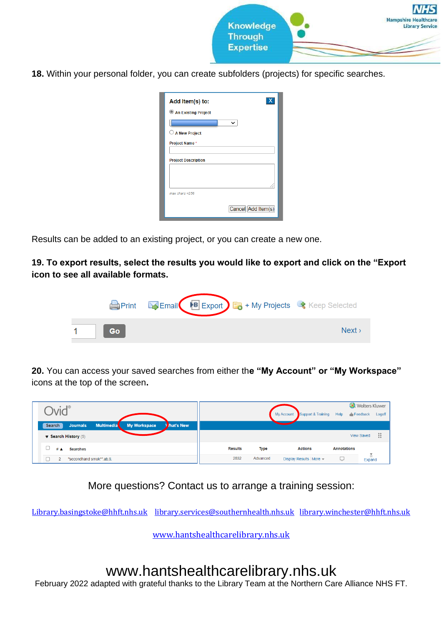

**18.** Within your personal folder, you can create subfolders (projects) for specific searches.

| Add Item(s) to:            |                    |
|----------------------------|--------------------|
| An Existing Project        |                    |
|                            | $\check{ }$        |
| $\cup$ A New Project       |                    |
| Project Name*              |                    |
|                            |                    |
| <b>Project Description</b> |                    |
|                            |                    |
|                            |                    |
| $max_{class}$ =256         |                    |
|                            | Cancel Add Item(s) |

Results can be added to an existing project, or you can create a new one.

**19. To export results, select the results you would like to export and click on the "Export icon to see all available formats.**

|           | Print Export Export + My Projects + Keep Selected |      |
|-----------|---------------------------------------------------|------|
| <b>Go</b> |                                                   | Next |

**20.** You can access your saved searches from either th**e "My Account" or "My Workspace"**  icons at the top of the screen**.**

|                                                                                           | Support & Training<br>My Account<br>Help        | <b>.</b> Wolters Kluwer<br>$\blacksquare$ Feedback<br>Logoff |
|-------------------------------------------------------------------------------------------|-------------------------------------------------|--------------------------------------------------------------|
| <b>My Workspace</b><br><b>Jat's New</b><br><b>Multimedia</b><br>Search<br><b>Journals</b> |                                                 |                                                              |
| $\blacktriangledown$ Search History (5)                                                   |                                                 | ä<br><b>View Saved</b>                                       |
| # ▲<br><b>Searches</b>                                                                    | <b>Results</b><br><b>Type</b><br><b>Actions</b> | <b>Annotations</b>                                           |
| "secondhand smok*".ab.ti.<br>$\sim$                                                       | 2832<br>Advanced<br>Display Results More        | Ξ<br>w<br>Expand                                             |

More questions? Contact us to arrange a training session:

[Library.basingstoke@hhft.nhs.uk](mailto:Library.basingstoke@hhft.nhs.uk) [library.services@southernhealth.nhs.uk](mailto:library.services@southernhealth.nhs.uk) [library.winchester@hhft.nhs.uk](mailto:library.winchester@hhft.nhs.uk)

[www.hantshealthcarelibrary.nhs.uk](http://www.hantshealthcarelibrary.nhs.uk/)

## www.hantshealthcarelibrary.nhs.uk